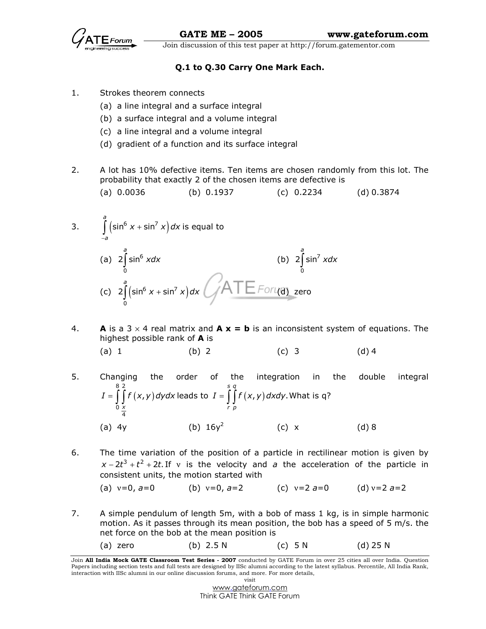

# Q.1 to Q.30 Carry One Mark Each.

- 1. Strokes theorem connects
	- (a) a line integral and a surface integral
	- (b) a surface integral and a volume integral
	- (c) a line integral and a volume integral
	- (d) gradient of a function and its surface integral
- 2. A lot has 10% defective items. Ten items are chosen randomly from this lot. The probability that exactly 2 of the chosen items are defective is

(a) 
$$
0.0036
$$
 (b)  $0.1937$  (c)  $0.2234$  (d)  $0.3874$ 

3. 
$$
\int_{-a}^{a} \left(\sin^6 x + \sin^7 x\right) dx
$$
 is equal to  
\n(a)  $2 \int_{0}^{a} \sin^6 x dx$  (b)  $2 \int_{0}^{a} \sin^7 x dx$   
\n(c)  $2 \int_{0}^{a} \left(\sin^6 x + \sin^7 x\right) dx$ 

4. **A** is a 3  $\times$  4 real matrix and **A x = b** is an inconsistent system of equations. The highest possible rank of **A** is

(a) 1 (b) 2 (c) 3 (d) 4

- 5. Changing the order of the integration in the double integral  $(x, y)$ 8 2 0 4 , x  $I=\int\limits^8\int\limits^2 f\left(x,y\right) d y d x$  leads to  $\;I=\int\limits^s\int\limits^q f\left(x,y\right) d x d y.$  V r p  $I = \int\int\! f\left( {x,y} \right) dxdy.$  What is q? (a)  $4y$  (b)  $16y^2$ (c) x (d) 8
- 6. The time variation of the position of a particle in rectilinear motion is given by  $x - 2t^3 + t^2 + 2t$ . If v is the velocity and a the acceleration of the particle in consistent units, the motion started with
	- (a)  $v=0$ ,  $a=0$  (b)  $v=0$ ,  $a=2$  (c)  $v=2$   $a=0$  (d)  $v=2$   $a=2$
- 7. A simple pendulum of length 5m, with a bob of mass 1 kg, is in simple harmonic motion. As it passes through its mean position, the bob has a speed of 5 m/s. the net force on the bob at the mean position is
	- (a) zero (b) 2.5 N (c) 5 N (d) 25 N

Join All India Mock GATE Classroom Test Series - 2007 conducted by GATE Forum in over 25 cities all over India. Question Papers including section tests and full tests are designed by IISc alumni according to the latest syllabus. Percentile, All India Rank, interaction with IISc alumni in our online discussion forums, and more. For more details, visit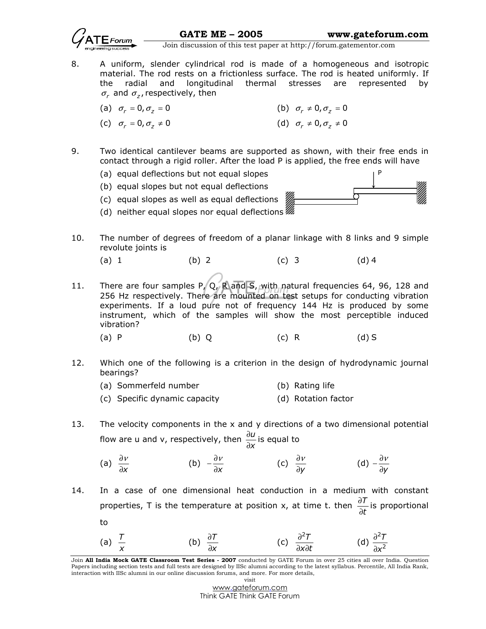

8. A uniform, slender cylindrical rod is made of a homogeneous and isotropic material. The rod rests on a frictionless surface. The rod is heated uniformly. If the radial and longitudinal thermal stresses are represented by  $\sigma_r$  and  $\sigma_z$ , respectively, then

(a) 
$$
\sigma_r = 0, \sigma_z = 0
$$
   
 (b)  $\sigma_r \neq 0, \sigma_z = 0$ 

(c) 
$$
\sigma_r = 0, \sigma_z \neq 0
$$
   
 (d)  $\sigma_r \neq 0, \sigma_z \neq 0$ 

- 9. Two identical cantilever beams are supported as shown, with their free ends in contact through a rigid roller. After the load P is applied, the free ends will have
	- (a) equal deflections but not equal slopes
	- (b) equal slopes but not equal deflections
	- (c) equal slopes as well as equal deflections



- (d) neither equal slopes nor equal deflections
- 10. The number of degrees of freedom of a planar linkage with 8 links and 9 simple revolute joints is
- (a) 1 (b) 2 (c) 3 (d) 4
- 11. There are four samples P, Q, R and S, with natural frequencies 64, 96, 128 and 256 Hz respectively. There are mounted on test setups for conducting vibration experiments. If a loud pure not of frequency 144 Hz is produced by some instrument, which of the samples will show the most perceptible induced vibration?
- (a) P (b) Q (c) R (d) S
- 12. Which one of the following is a criterion in the design of hydrodynamic journal bearings?
	- (a) Sommerfeld number (b) Rating life
	- (c) Specific dynamic capacity (d) Rotation factor
- 13. The velocity components in the x and y directions of a two dimensional potential flow are u and v, respectively, then  $\frac{\partial u}{\partial x}$ x ∂ ∂ is equal to
- (a) x ∂<sup>ν</sup> ∂ (b) x  $-\frac{\partial v}{\partial x}$ (c)  $\frac{\partial V}{\partial y}$ ∂<sup>ν</sup> ∂  $(d) - \frac{\partial V}{\partial y}$  $-\frac{\partial V}{\partial y}$
- 14. In a case of one dimensional heat conduction in a medium with constant properties, T is the temperature at position x, at time t. then  $\frac{\partial T}{\partial x}$ t ∂ ∂ is proportional to
- (a)  $\frac{T}{x}$ (b)  $\frac{\partial T}{\partial x}$ x ∂ ∂ (c)  $\frac{\partial^2 T}{\partial x^2}$  $x \partial t$ ∂ ∂χ∂ (d) 2 2 T x ∂ ∂

Join All India Mock GATE Classroom Test Series - 2007 conducted by GATE Forum in over 25 cities all over India. Question Papers including section tests and full tests are designed by IISc alumni according to the latest syllabus. Percentile, All India Rank, interaction with IISc alumni in our online discussion forums, and more. For more details, visit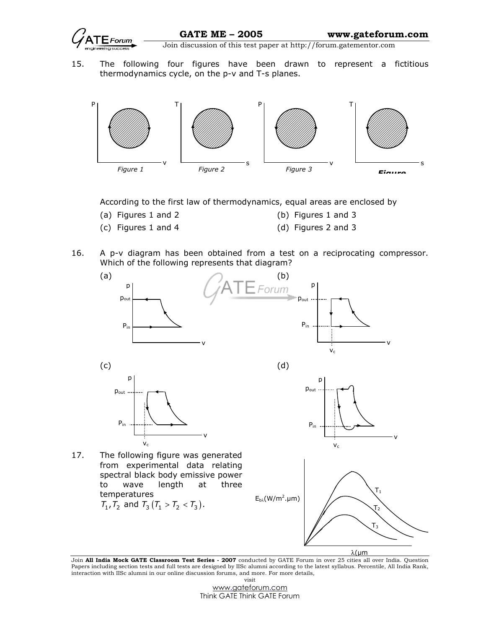

15. The following four figures have been drawn to represent a fictitious thermodynamics cycle, on the p-v and T-s planes.



According to the first law of thermodynamics, equal areas are enclosed by

- (a) Figures 1 and 2 (b) Figures 1 and 3
- (c) Figures 1 and 4 (d) Figures 2 and 3
- 16. A p-v diagram has been obtained from a test on a reciprocating compressor. Which of the following represents that diagram?



Join **All India Mock GATE Classroom Test Series - 2007** conducted by GATE Forum in over 25 cities all over India. Question Papers including section tests and full tests are designed by IISc alumni according to the latest syllabus. Percentile, All India Rank, interaction with IISc alumni in our online discussion forums, and more. For more details, visit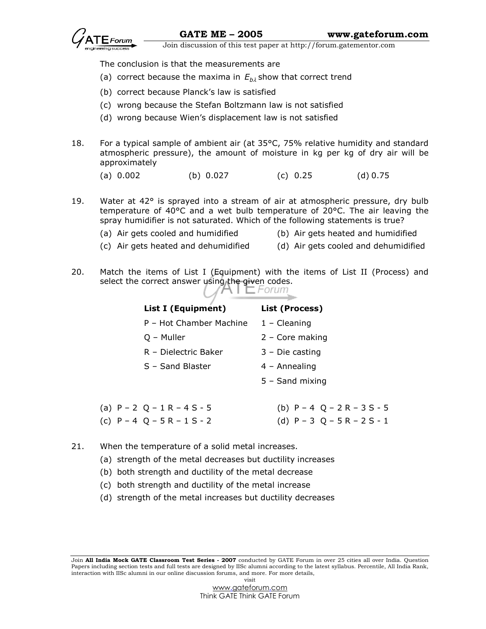

The conclusion is that the measurements are

- (a) correct because the maxima in  $E_{b\lambda}$  show that correct trend
	- (b) correct because Planck's law is satisfied
	- (c) wrong because the Stefan Boltzmann law is not satisfied
	- (d) wrong because Wien's displacement law is not satisfied
- 18. For a typical sample of ambient air (at 35°C, 75% relative humidity and standard atmospheric pressure), the amount of moisture in kg per kg of dry air will be approximately
	- (a) 0.002 (b) 0.027 (c) 0.25 (d) 0.75
- 19. Water at 42° is sprayed into a stream of air at atmospheric pressure, dry bulb temperature of 40°C and a wet bulb temperature of 20°C. The air leaving the spray humidifier is not saturated. Which of the following statements is true?
	- (a) Air gets cooled and humidified (b) Air gets heated and humidified
		-
	- (c) Air gets heated and dehumidified (d) Air gets cooled and dehumidified
- 20. Match the items of List I (Equipment) with the items of List II (Process) and select the correct answer using the given codes.

| List I (Equipment)         | List (Process)                |
|----------------------------|-------------------------------|
| P – Hot Chamber Machine    | $1 -$ Cleaning                |
| Q – Muller                 | $2 - Core making$             |
| R - Dielectric Baker       | $3 - Die casting$             |
| S - Sand Blaster           | $4 -$ Annealing               |
|                            | $5 -$ Sand mixing             |
|                            |                               |
| (a) $P - 2Q - 1R - 4S - 5$ | (b) $P - 4$ $Q - 2R - 3S - 5$ |
| (c) $P - 4Q - 5R - 1S - 2$ | (d) $P - 3Q - 5R - 2S - 1$    |

- 21. When the temperature of a solid metal increases.
	- (a) strength of the metal decreases but ductility increases
	- (b) both strength and ductility of the metal decrease
	- (c) both strength and ductility of the metal increase
	- (d) strength of the metal increases but ductility decreases

Join All India Mock GATE Classroom Test Series - 2007 conducted by GATE Forum in over 25 cities all over India. Question Papers including section tests and full tests are designed by IISc alumni according to the latest syllabus. Percentile, All India Rank, interaction with IISc alumni in our online discussion forums, and more. For more details, visit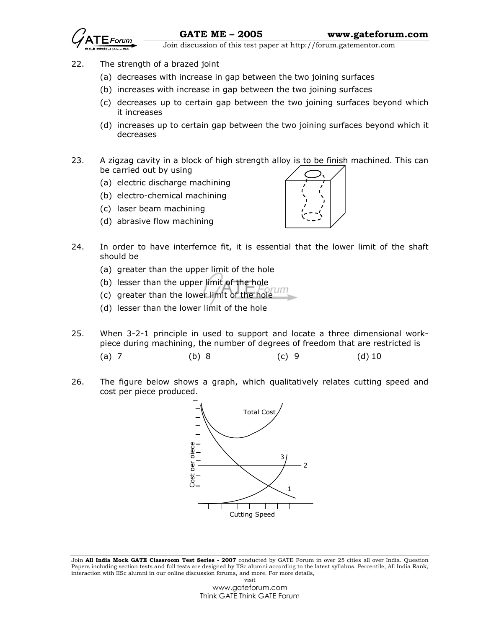

- 22. The strength of a brazed joint
	- (a) decreases with increase in gap between the two joining surfaces
	- (b) increases with increase in gap between the two joining surfaces
	- (c) decreases up to certain gap between the two joining surfaces beyond which it increases
	- (d) increases up to certain gap between the two joining surfaces beyond which it decreases
- 23. A zigzag cavity in a block of high strength alloy is to be finish machined. This can be carried out by using
	- (a) electric discharge machining
	- (b) electro-chemical machining
	- (c) laser beam machining
	- (d) abrasive flow machining



- 24. In order to have interfernce fit, it is essential that the lower limit of the shaft should be
	- (a) greater than the upper limit of the hole
	- (b) lesser than the upper limit of the hole
	- (c) greater than the lower limit of the hole
	- (d) lesser than the lower limit of the hole
- 25. When 3-2-1 principle in used to support and locate a three dimensional workpiece during machining, the number of degrees of freedom that are restricted is
- (a) 7 (b) 8 (c) 9 (d) 10
- 26. The figure below shows a graph, which qualitatively relates cutting speed and cost per piece produced.



Join All India Mock GATE Classroom Test Series - 2007 conducted by GATE Forum in over 25 cities all over India. Question Papers including section tests and full tests are designed by IISc alumni according to the latest syllabus. Percentile, All India Rank, interaction with IISc alumni in our online discussion forums, and more. For more details, visit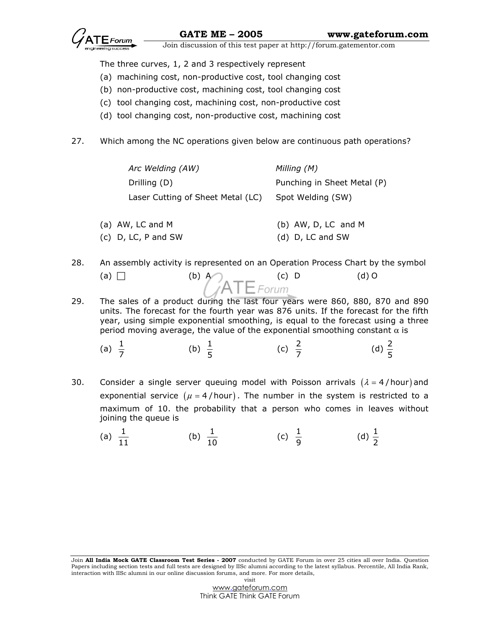The three curves, 1, 2 and 3 respectively represent

- (a) machining cost, non-productive cost, tool changing cost
- (b) non-productive cost, machining cost, tool changing cost
- (c) tool changing cost, machining cost, non-productive cost
- (d) tool changing cost, non-productive cost, machining cost
- 27. Which among the NC operations given below are continuous path operations?

| Arc Welding (AW)                  | Milling (M)                 |
|-----------------------------------|-----------------------------|
| Drilling (D)                      | Punching in Sheet Metal (P) |
| Laser Cutting of Sheet Metal (LC) | Spot Welding (SW)           |

- (a) AW, LC and M (b) AW, D, LC and M (c) D, LC, P and SW (d) D, LC and SW
- 28. An assembly activity is represented on an Operation Process Chart by the symbol
	- (a)  $\Box$  (b)  $^{A}_{A}TE$  Forum (c) 0 (d) 0
- 29. The sales of a product during the last four years were 860, 880, 870 and 890 units. The forecast for the fourth year was 876 units. If the forecast for the fifth year, using simple exponential smoothing, is equal to the forecast using a three period moving average, the value of the exponential smoothing constant  $\alpha$  is
- (a)  $\frac{1}{7}$ (b)  $\frac{1}{5}$  (c)  $\frac{2}{7}$ (d)  $\frac{2}{5}$
- 30. Consider a single server queuing model with Poisson arrivals  $(\lambda = 4$ /hour) and exponential service  $(\mu = 4 / \text{hour})$ . The number in the system is restricted to a maximum of 10. the probability that a person who comes in leaves without joining the queue is
- (a)  $\frac{1}{11}$  (b)  $\frac{1}{10}$  (c)  $\frac{1}{9}$  (d)  $\frac{1}{2}$

Join All India Mock GATE Classroom Test Series - 2007 conducted by GATE Forum in over 25 cities all over India. Question Papers including section tests and full tests are designed by IISc alumni according to the latest syllabus. Percentile, All India Rank, interaction with IISc alumni in our online discussion forums, and more. For more details, visit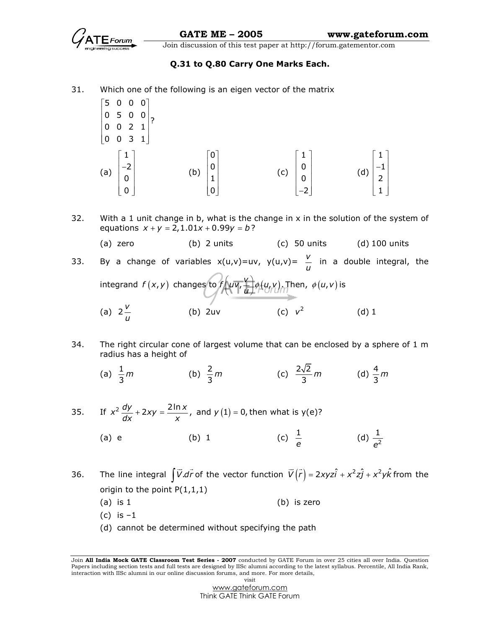

e

Join discussion of this test paper at http://forum.gatementor.com

## Q.31 to Q.80 Carry One Marks Each.

- 31. Which one of the following is an eigen vector of the matrix
	- $\begin{bmatrix} 5 & 0 & 0 & 0 \end{bmatrix}$  $\begin{bmatrix} 0 & 5 & 0 & 0 \\ 0 & 0 & 2 & 1 \end{bmatrix}$ 0 0 2 1  $\begin{bmatrix} 0 & 0 & 3 & 1 \end{bmatrix}$ ט ט כ ט $\vert$  (a) 1  $\vert$  –2 $\vert$ 0 0  $\lceil 1 \rceil$  $|0|$  $\begin{bmatrix} 0 \\ 0 \end{bmatrix}$  (b) 0  $|0|$  $|1|$ 0  $\lceil 0 \rceil$  $\mathsf{P}$  $\begin{bmatrix} 1 \\ 0 \end{bmatrix}$  $\overline{c}$  (c) 1 0 0 2  $\lceil 1 \rceil$  $\lfloor \overline{\phantom{a}}\rceil$  $\begin{bmatrix} 0 \\ 1 \end{bmatrix}$  $\overline{0}$  $\begin{bmatrix} 0 \\ -2 \end{bmatrix}$  (d) 1 1 2 1  $\lceil 1 \rceil$  $\vert -1 \vert$  $\vert 2 \vert$  $\begin{bmatrix} 1 \end{bmatrix}$
- 32. With a 1 unit change in b, what is the change in x in the solution of the system of equations  $x + y = 2, 1.01x + 0.99y = b$ ?

(a) zero  $(b)$  2 units  $(c)$  50 units  $(d)$  100 units

- 33. By a change of variables  $x(u,v) = uv$ ,  $y(u,v) = v$  $\frac{\cdot}{\mu}$  in a double integral, the<br>u integrand  $f(x,y)$  changes to  $f\left(u\overline{v}, \frac{v}{u}\right)\phi(u,v)$ . T  $\left(u\nabla,\frac{v}{u}\right)\phi(u,v)$  . Then,  $\phi(u,v)$  is (a)  $2\frac{V}{I}$  $\frac{v}{u}$  (b) 2uv (c)  $v^2$  (d) 1
- 34. The right circular cone of largest volume that can be enclosed by a sphere of 1 m radius has a height of
- (a)  $\frac{1}{3}$ m (b)  $\frac{2}{3}m$  (c)  $\frac{2\sqrt{2}}{3}m$  (d)  $\frac{4}{3}m$
- 35. If  $x^2 \frac{dy}{dx} + 2xy = \frac{2 \ln x}{x}$ , and  $y(1) = 0$ , then what is  $y(e)$ ? (a) e (b) 1  $\frac{1}{e}$  (d)  $\frac{1}{e^2}$
- 36. The line integral  $\int \vec{V} \cdot d\vec{r}$  of the vector function  $\vec{V}(\vec{r}) = 2xyz\hat{i} + x^2z\hat{j} + x^2y\hat{k}$ from the origin to the point  $P(1,1,1)$ 
	- (a) is 1 (b) is zero
	- $(c)$  is  $-1$
	- (d) cannot be determined without specifying the path

Join All India Mock GATE Classroom Test Series - 2007 conducted by GATE Forum in over 25 cities all over India. Question Papers including section tests and full tests are designed by IISc alumni according to the latest syllabus. Percentile, All India Rank, interaction with IISc alumni in our online discussion forums, and more. For more details, visit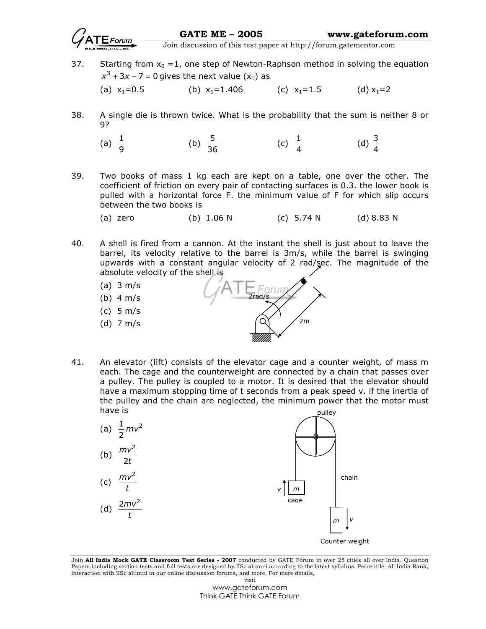GATE ME – 2005 www.gateforum.com

Join discussion of this test paper at http://forum.gatementor.com

37. Starting from  $x_0 = 1$ , one step of Newton-Raphson method in solving the equation  $x^3 + 3x - 7 = 0$  gives the next value  $(x_1)$  as

(a)  $x_1=0.5$  (b)  $x_1=1.406$  (c)  $x_1=1.5$  (d)  $x_1=2$ 

38. A single die is thrown twice. What is the probability that the sum is neither 8 or 9?

(a) 
$$
\frac{1}{9}
$$
 (b)  $\frac{5}{36}$  (c)  $\frac{1}{4}$  (d)  $\frac{3}{4}$ 

39. Two books of mass 1 kg each are kept on a table, one over the other. The coefficient of friction on every pair of contacting surfaces is 0.3. the lower book is pulled with a horizontal force F. the minimum value of F for which slip occurs between the two books is

(a) zero (b) 1.06 N (c) 5.74 N (d) 8.83 N

- 40. A shell is fired from a cannon. At the instant the shell is just about to leave the barrel, its velocity relative to the barrel is 3m/s, while the barrel is swinging upwards with a constant angular velocity of 2 rad/sec. The magnitude of the absolute velocity of the shell is
	- (a) 3 m/s
	- (b) 4 m/s
	- (c) 5 m/s
	- (d) 7 m/s



41. An elevator (lift) consists of the elevator cage and a counter weight, of mass m each. The cage and the counterweight are connected by a chain that passes over a pulley. The pulley is coupled to a motor. It is desired that the elevator should have a maximum stopping time of t seconds from a peak speed v. if the inertia of the pulley and the chain are neglected, the minimum power that the motor must have is pulley



Join All India Mock GATE Classroom Test Series - 2007 conducted by GATE Forum in over 25 cities all over India. Question Papers including section tests and full tests are designed by IISc alumni according to the latest syllabus. Percentile, All India Rank, interaction with IISc alumni in our online discussion forums, and more. For more details, visit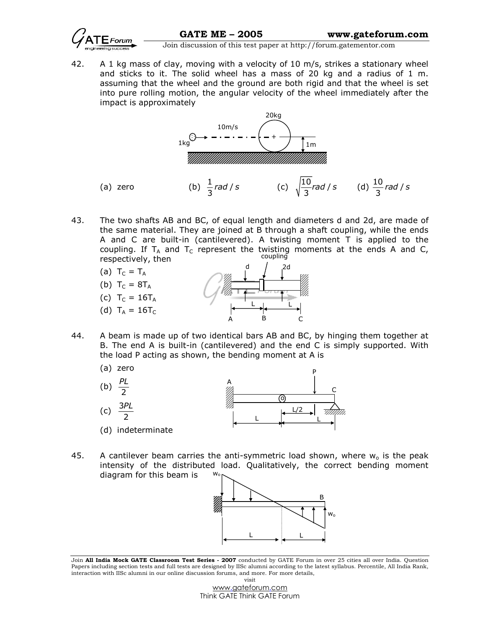

42. A 1 kg mass of clay, moving with a velocity of 10 m/s, strikes a stationary wheel and sticks to it. The solid wheel has a mass of 20 kg and a radius of 1 m. assuming that the wheel and the ground are both rigid and that the wheel is set into pure rolling motion, the angular velocity of the wheel immediately after the impact is approximately



43. The two shafts AB and BC, of equal length and diameters d and 2d, are made of the same material. They are joined at B through a shaft coupling, while the ends A and C are built-in (cantilevered). A twisting moment T is applied to the coupling. If  $T_A$  and  $T_C$  represent the twisting moments at the ends A and C, respectively, then coupling



- 44. A beam is made up of two identical bars AB and BC, by hinging them together at B. The end A is built-in (cantilevered) and the end C is simply supported. With the load P acting as shown, the bending moment at A is
	- (a) zero



45. A cantilever beam carries the anti-symmetric load shown, where  $w<sub>o</sub>$  is the peak intensity of the distributed load. Qualitatively, the correct bending moment diagram for this beam is w<sup>o</sup>



Join All India Mock GATE Classroom Test Series - 2007 conducted by GATE Forum in over 25 cities all over India. Question Papers including section tests and full tests are designed by IISc alumni according to the latest syllabus. Percentile, All India Rank, interaction with IISc alumni in our online discussion forums, and more. For more details, visit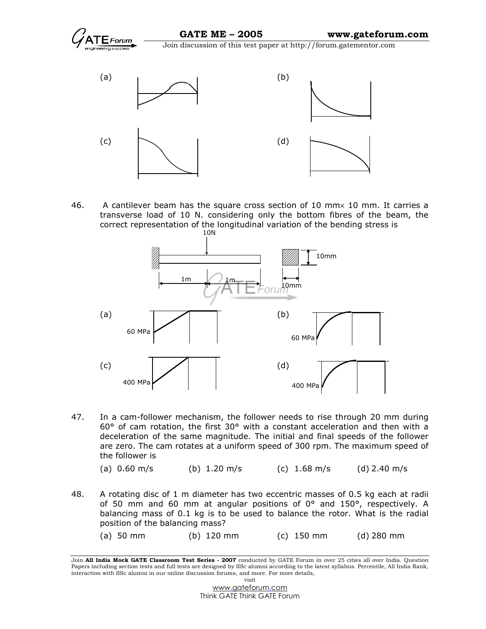



46. A cantilever beam has the square cross section of 10 mm× 10 mm. It carries a transverse load of 10 N. considering only the bottom fibres of the beam, the correct representation of the longitudinal variation of the bending stress is



47. In a cam-follower mechanism, the follower needs to rise through 20 mm during 60° of cam rotation, the first 30° with a constant acceleration and then with a deceleration of the same magnitude. The initial and final speeds of the follower are zero. The cam rotates at a uniform speed of 300 rpm. The maximum speed of the follower is

```
(a) 0.60 \text{ m/s} (b) 1.20 \text{ m/s} (c) 1.68 \text{ m/s} (d) 2.40 \text{ m/s}
```
- 48. A rotating disc of 1 m diameter has two eccentric masses of 0.5 kg each at radii of 50 mm and 60 mm at angular positions of  $0^{\circ}$  and 150°, respectively. A balancing mass of 0.1 kg is to be used to balance the rotor. What is the radial position of the balancing mass?
	- (a) 50 mm (b) 120 mm (c) 150 mm (d) 280 mm

Join All India Mock GATE Classroom Test Series - 2007 conducted by GATE Forum in over 25 cities all over India. Question Papers including section tests and full tests are designed by IISc alumni according to the latest syllabus. Percentile, All India Rank, interaction with IISc alumni in our online discussion forums, and more. For more details, visit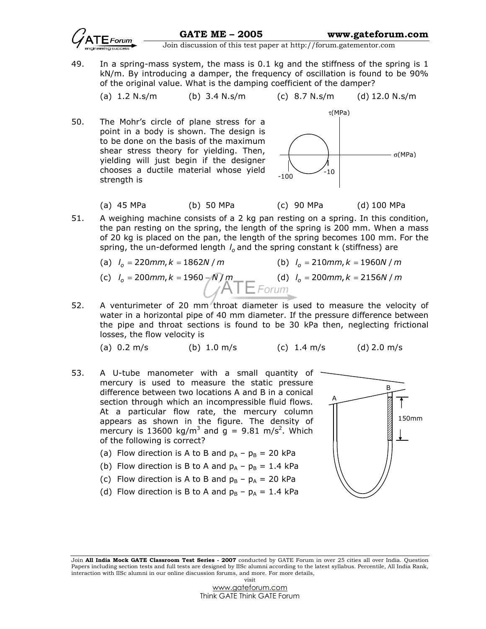49. In a spring-mass system, the mass is 0.1 kg and the stiffness of the spring is 1 kN/m. By introducing a damper, the frequency of oscillation is found to be 90% of the original value. What is the damping coefficient of the damper?

(a) 
$$
1.2 \text{ N} \cdot \text{s/m}
$$
 (b)  $3.4 \text{ N} \cdot \text{s/m}$  (c)  $8.7 \text{ N} \cdot \text{s/m}$  (d)  $12.0 \text{ N} \cdot \text{s/m}$ 

50. The Mohr's circle of plane stress for a point in a body is shown. The design is to be done on the basis of the maximum shear stress theory for yielding. Then, yielding will just begin if the designer chooses a ductile material whose yield strength is



- (a) 45 MPa (b) 50 MPa (c) 90 MPa (d) 100 MPa
- 51. A weighing machine consists of a 2 kg pan resting on a spring. In this condition, the pan resting on the spring, the length of the spring is 200 mm. When a mass of 20 kg is placed on the pan, the length of the spring becomes 100 mm. For the spring, the un-deformed length  $l_o$  and the spring constant k (stiffness) are

(a) 
$$
I_o = 220 \text{mm}, k = 1862N/m
$$
   
 (b)  $I_o = 210 \text{mm}, k = 1960N/m$ 

(c) 
$$
I_o = 200 \text{mm}, k = 1960 - \frac{N}{M} \text{m}
$$
 (d)  $I_o = 200 \text{mm}, k = 2156N / \text{m}$ 

52. A venturimeter of 20 mm throat diameter is used to measure the velocity of water in a horizontal pipe of 40 mm diameter. If the pressure difference between the pipe and throat sections is found to be 30 kPa then, neglecting frictional losses, the flow velocity is

(a) 
$$
0.2 \, \text{m/s}
$$
 (b)  $1.0 \, \text{m/s}$  (c)  $1.4 \, \text{m/s}$  (d)  $2.0 \, \text{m/s}$ 

53. A U-tube manometer with a small quantity of mercury is used to measure the static pressure difference between two locations A and B in a conical section through which an incompressible fluid flows. At a particular flow rate, the mercury column appears as shown in the figure. The density of mercury is 13600 kg/m<sup>3</sup> and  $g = 9.81$  m/s<sup>2</sup>. Which of the following is correct?



- (b) Flow direction is B to A and  $p_A p_B = 1.4$  kPa
- (c) Flow direction is A to B and  $p_B p_A = 20$  kPa
- (d) Flow direction is B to A and  $p_B p_A = 1.4$  kPa



Join All India Mock GATE Classroom Test Series - 2007 conducted by GATE Forum in over 25 cities all over India. Question Papers including section tests and full tests are designed by IISc alumni according to the latest syllabus. Percentile, All India Rank, interaction with IISc alumni in our online discussion forums, and more. For more details, visit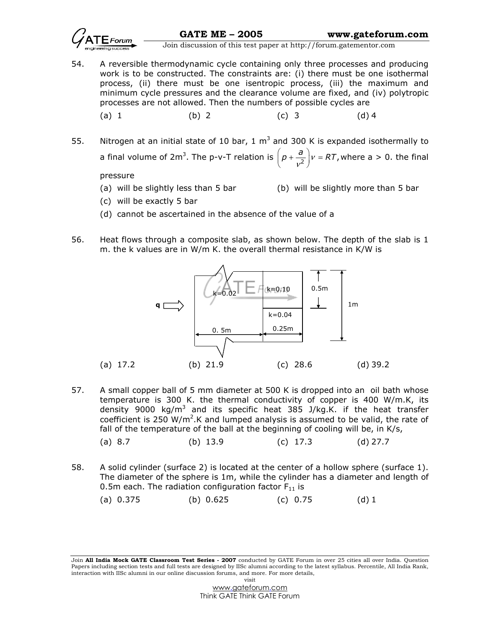

54. A reversible thermodynamic cycle containing only three processes and producing work is to be constructed. The constraints are: (i) there must be one isothermal process, (ii) there must be one isentropic process, (iii) the maximum and minimum cycle pressures and the clearance volume are fixed, and (iv) polytropic processes are not allowed. Then the numbers of possible cycles are

(a) 1 (b) 2 (c) 3 (d) 4

55. Nitrogen at an initial state of 10 bar, 1  $m<sup>3</sup>$  and 300 K is expanded isothermally to a final volume of 2m<sup>3</sup>. The p-v-T relation is  $\left(p + \frac{a}{v^2}\right)v = RT$ ,  $\left(p + \frac{a}{v^2}\right)v = RT$ , where a > 0. the final

pressure

(a) will be slightly less than 5 bar (b) will be slightly more than 5 bar

- (c) will be exactly 5 bar
- (d) cannot be ascertained in the absence of the value of a
- 56. Heat flows through a composite slab, as shown below. The depth of the slab is 1 m. the k values are in W/m K. the overall thermal resistance in K/W is



- 57. A small copper ball of 5 mm diameter at 500 K is dropped into an oil bath whose temperature is 300 K. the thermal conductivity of copper is 400 W/m.K, its density 9000 kg/m<sup>3</sup> and its specific heat 385 J/kg.K. if the heat transfer coefficient is 250 W/m<sup>2</sup>.K and lumped analysis is assumed to be valid, the rate of fall of the temperature of the ball at the beginning of cooling will be, in K/s,
	- (a) 8.7 (b) 13.9 (c) 17.3 (d) 27.7
- 58. A solid cylinder (surface 2) is located at the center of a hollow sphere (surface 1). The diameter of the sphere is 1m, while the cylinder has a diameter and length of 0.5m each. The radiation configuration factor  $F_{11}$  is

(a) 0.375 (b) 0.625 (c) 0.75 (d) 1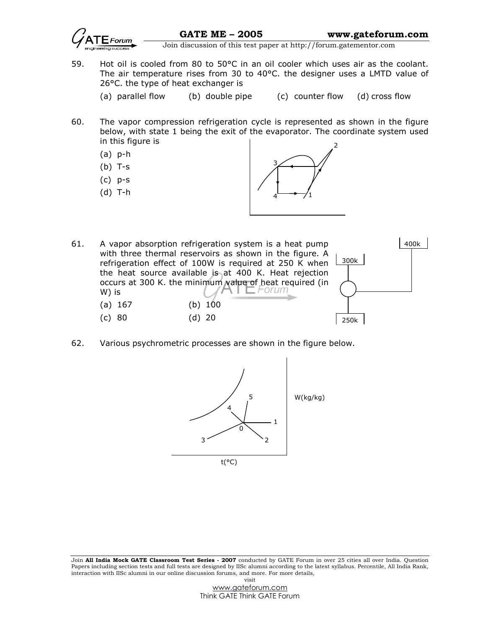

- 59. Hot oil is cooled from 80 to 50°C in an oil cooler which uses air as the coolant. The air temperature rises from 30 to 40°C. the designer uses a LMTD value of 26°C. the type of heat exchanger is
	- (a) parallel flow (b) double pipe (c) counter flow (d) cross flow
- 60. The vapor compression refrigeration cycle is represented as shown in the figure below, with state 1 being the exit of the evaporator. The coordinate system used in this figure is
	- (a) p-h
	- (b) T-s
	- (c) p-s
	- (d) T-h



- 61. A vapor absorption refrigeration system is a heat pump with three thermal reservoirs as shown in the figure. A refrigeration effect of 100W is required at 250 K when the heat source available is at 400 K. Heat rejection occurs at 300 K. the minimum value of heat required (in W) is (a) 167 (b) 100 (c) 80 (d) 20 250k 300k 400k
- 62. Various psychrometric processes are shown in the figure below.



Join All India Mock GATE Classroom Test Series - 2007 conducted by GATE Forum in over 25 cities all over India. Question Papers including section tests and full tests are designed by IISc alumni according to the latest syllabus. Percentile, All India Rank, interaction with IISc alumni in our online discussion forums, and more. For more details, visit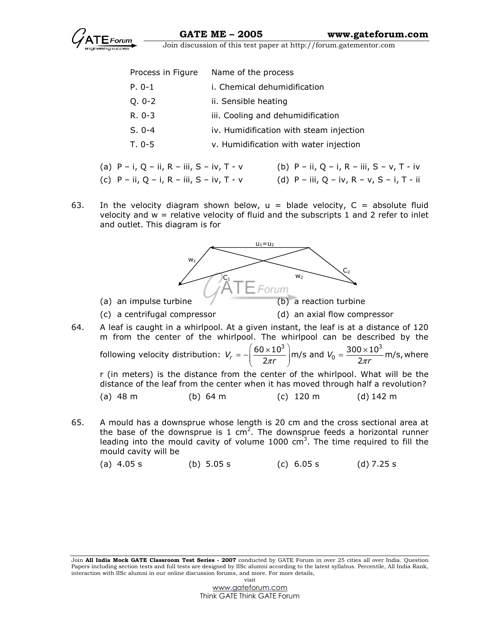

| Process in Figure | Name of the process                     |
|-------------------|-----------------------------------------|
| P. 0-1            | i. Chemical dehumidification            |
| Q. 0-2            | ii. Sensible heating                    |
| R. 0-3            | iii. Cooling and dehumidification       |
| S. 0-4            | iv. Humidification with steam injection |
| T. 0-5            | v. Humidification with water injection  |

- (a) P i, Q ii, R iii, S iv, T v (b) P ii, Q i, R iii, S v, T iv
- (c) P ii, Q i, R iii, S iv, T v (d) P iii, Q iv, R v, S i, T ii
- 63. In the velocity diagram shown below,  $u = b$ lade velocity,  $C = ab$ solute fluid velocity and  $w =$  relative velocity of fluid and the subscripts 1 and 2 refer to inlet and outlet. This diagram is for



the base of the downsprue is 1 cm<sup>2</sup>. The downsprue feeds a horizontal runner leading into the mould cavity of volume  $1000 \text{ cm}^3$ . The time required to fill the mould cavity will be

(a) 4.05 s (b) 5.05 s (c) 6.05 s (d) 7.25 s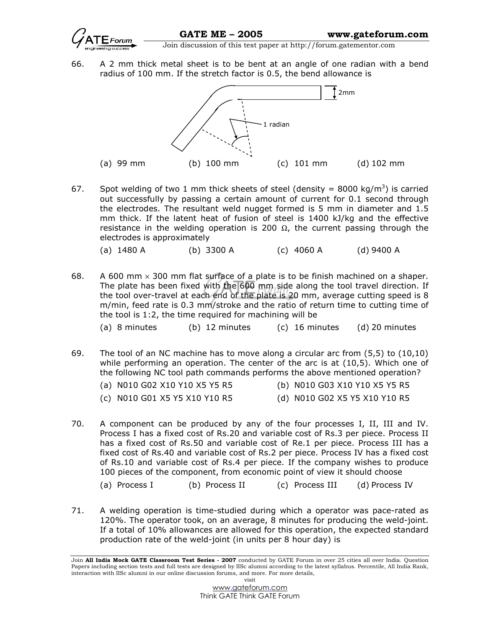

66. A 2 mm thick metal sheet is to be bent at an angle of one radian with a bend radius of 100 mm. If the stretch factor is 0.5, the bend allowance is



67. Spot welding of two 1 mm thick sheets of steel (density = 8000 kg/m<sup>3</sup>) is carried out successfully by passing a certain amount of current for 0.1 second through the electrodes. The resultant weld nugget formed is 5 mm in diameter and 1.5 mm thick. If the latent heat of fusion of steel is 1400 kJ/kg and the effective resistance in the welding operation is 200  $\Omega$ , the current passing through the electrodes is approximately

(a) 1480 A (b) 3300 A (c) 4060 A (d) 9400 A

- 68. A 600 mm  $\times$  300 mm flat surface of a plate is to be finish machined on a shaper. The plate has been fixed with the 600 mm side along the tool travel direction. If the tool over-travel at each end of the plate is 20 mm, average cutting speed is 8 m/min, feed rate is 0.3 mm/stroke and the ratio of return time to cutting time of the tool is 1:2, the time required for machining will be
	- (a) 8 minutes (b) 12 minutes (c) 16 minutes (d) 20 minutes
- 69. The tool of an NC machine has to move along a circular arc from (5,5) to (10,10) while performing an operation. The center of the arc is at (10,5). Which one of the following NC tool path commands performs the above mentioned operation?
	- (a) N010 G02 X10 Y10 X5 Y5 R5 (b) N010 G03 X10 Y10 X5 Y5 R5 (c) N010 G01 X5 Y5 X10 Y10 R5 (d) N010 G02 X5 Y5 X10 Y10 R5
- 70. A component can be produced by any of the four processes I, II, III and IV. Process I has a fixed cost of Rs.20 and variable cost of Rs.3 per piece. Process II has a fixed cost of Rs.50 and variable cost of Re.1 per piece. Process III has a fixed cost of Rs.40 and variable cost of Rs.2 per piece. Process IV has a fixed cost of Rs.10 and variable cost of Rs.4 per piece. If the company wishes to produce 100 pieces of the component, from economic point of view it should choose
	- (a) Process I (b) Process II (c) Process III (d) Process IV
- 71. A welding operation is time-studied during which a operator was pace-rated as 120%. The operator took, on an average, 8 minutes for producing the weld-joint. If a total of 10% allowances are allowed for this operation, the expected standard production rate of the weld-joint (in units per 8 hour day) is

Join All India Mock GATE Classroom Test Series - 2007 conducted by GATE Forum in over 25 cities all over India. Question Papers including section tests and full tests are designed by IISc alumni according to the latest syllabus. Percentile, All India Rank, interaction with IISc alumni in our online discussion forums, and more. For more details, visit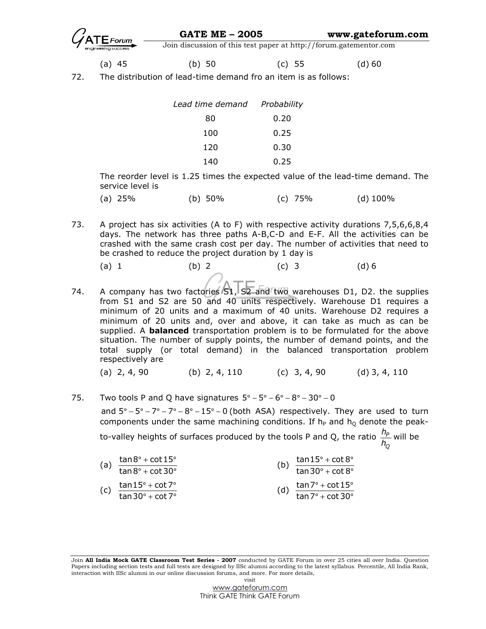| $\mathcal{G}_{\texttt{ATE}$ Forum | <b>GATE ME - 2005</b>                                             | www.gateforum.com |
|-----------------------------------|-------------------------------------------------------------------|-------------------|
|                                   | Join discussion of this test paper at http://forum.gatementor.com |                   |

(a) 45 (b) 50 (c) 55 (d) 60

72. The distribution of lead-time demand fro an item is as follows:

| Lead time demand | Probability |  |
|------------------|-------------|--|
| 80               | 0.20        |  |
| 100              | 0.25        |  |
| 120              | 0.30        |  |
| 140              | 0.25        |  |

The reorder level is 1.25 times the expected value of the lead-time demand. The service level is

| (a) 25% | (b) 50% | $(c)$ 75% | $(d)$ 100% |
|---------|---------|-----------|------------|
|         |         |           |            |
|         |         |           |            |

- 73. A project has six activities (A to F) with respective activity durations 7,5,6,6,8,4 days. The network has three paths A-B,C-D and E-F. All the activities can be crashed with the same crash cost per day. The number of activities that need to be crashed to reduce the project duration by 1 day is
- (a) 1 (b) 2 (c) 3 (d) 6
- 74. A company has two factories S1, S2 and two warehouses D1, D2. the supplies from S1 and S2 are 50 and 40 units respectively. Warehouse D1 requires a minimum of 20 units and a maximum of 40 units. Warehouse D2 requires a minimum of 20 units and, over and above, it can take as much as can be supplied. A **balanced** transportation problem is to be formulated for the above situation. The number of supply points, the number of demand points, and the total supply (or total demand) in the balanced transportation problem respectively are

(a) 2, 4, 90 (b) 2, 4, 110 (c) 3, 4, 90 (d) 3, 4, 110

75. Two tools P and Q have signatures  $5^{\circ} - 5^{\circ} - 6^{\circ} - 8^{\circ} - 30^{\circ} - 0$ 

and  $5^{\circ}$  -  $5^{\circ}$  -  $7^{\circ}$  -  $7^{\circ}$  -  $8^{\circ}$  - 15 $^{\circ}$  - 0 (both ASA) respectively. They are used to turn components under the same machining conditions. If  $h_P$  and  $h_Q$  denote the peakto-valley heights of surfaces produced by the tools P and Q, the ratio  $\frac{h_{\rho}}{h_{\rho}}$  $\frac{n_p}{h_o}$  will be

Q

(a)  $\frac{\tan 8^{\circ} + \cot 15}{\tan 8^{\circ} + \cot 30}$  $^{\circ}$  + cot 15 $^{\circ}$  $^{\circ}$  + cot 30 $^{\circ}$ (b)  $\frac{\tan 15^\circ + \cot 8^\circ}{\tan 30^\circ + \cot 8^\circ}$  $^{\circ}$  + cot  $8^{\circ}$  $^{\circ}$  + cot  $8^{\circ}$ (c)  $\frac{\tan 15^\circ + \cot 7^\circ}{\tan 30^\circ + \cot 7^\circ}$  $\degree$  + cot 7 $\degree$  $\degree$  + cot 7 $\degree$ (d)  $\frac{\tan 7^{\circ} + \cot 15}{\tan 7^{\circ} + \cot 30}$  $^{\circ}$  + cot 15 $^{\circ}$  $^{\circ}$  + cot 30 $^{\circ}$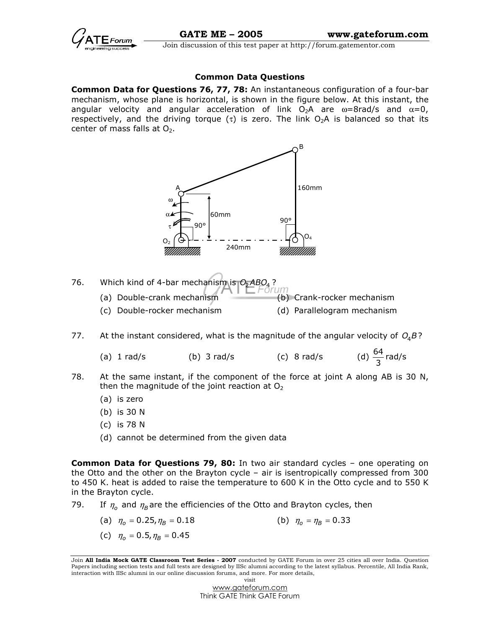

### Common Data Questions

Common Data for Questions 76, 77, 78: An instantaneous configuration of a four-bar mechanism, whose plane is horizontal, is shown in the figure below. At this instant, the angular velocity and angular acceleration of link  $O_2A$  are  $\omega = 8$ rad/s and  $\alpha = 0$ , respectively, and the driving torque (τ) is zero. The link  $O_2A$  is balanced so that its center of mass falls at  $O<sub>2</sub>$ .



77. At the instant considered, what is the magnitude of the angular velocity of  $O_4 B$ ?

(a)  $1 \text{ rad/s}$  (b)  $3 \text{ rad/s}$  (c)  $8 \text{ rad/s}$  $\frac{3}{3}$  rad/s

- 78. At the same instant, if the component of the force at joint A along AB is 30 N, then the magnitude of the joint reaction at  $O<sub>2</sub>$ 
	- (a) is zero
	- (b) is 30 N
	- (c) is 78 N
	- (d) cannot be determined from the given data

**Common Data for Questions 79, 80:** In two air standard cycles - one operating on the Otto and the other on the Brayton cycle – air is isentropically compressed from 300 to 450 K. heat is added to raise the temperature to 600 K in the Otto cycle and to 550 K in the Brayton cycle.

- 79. If  $\eta_0$  and  $\eta_B$  are the efficiencies of the Otto and Brayton cycles, then
	- (a)  $\eta_o = 0.25, \eta_B = 0.18$  (b)  $\eta_o = \eta_B = 0.33$
	- (c)  $\eta_0 = 0.5$ ,  $\eta_B = 0.45$

Join All India Mock GATE Classroom Test Series - 2007 conducted by GATE Forum in over 25 cities all over India. Question Papers including section tests and full tests are designed by IISc alumni according to the latest syllabus. Percentile, All India Rank, interaction with IISc alumni in our online discussion forums, and more. For more details,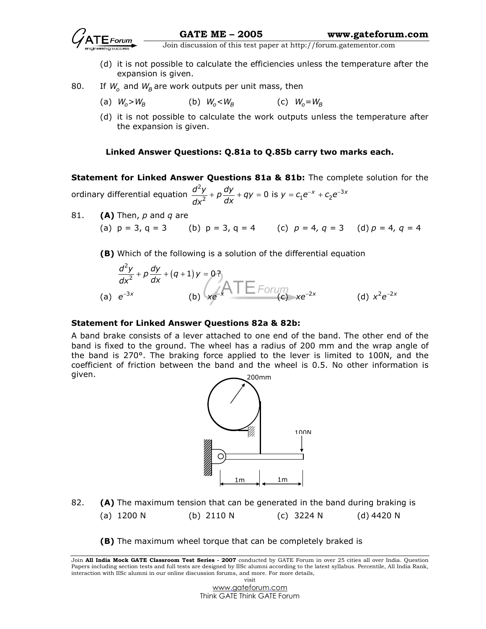

- (d) it is not possible to calculate the efficiencies unless the temperature after the expansion is given.
- 80. If  $W_0$  and  $W_B$  are work outputs per unit mass, then
	- (a)  $W_o > W_B$  (b)  $W_o < W_B$  (c)  $W_o = W_B$
	- (d) it is not possible to calculate the work outputs unless the temperature after the expansion is given.

## Linked Answer Questions: Q.81a to Q.85b carry two marks each.

Statement for Linked Answer Questions 81a & 81b: The complete solution for the ordinary differential equation  $^{2}y - dy = 0$  is  $y = 0e^{-x} + 0e^{-3}$  $\frac{d^2y}{dx^2} + p\frac{dy}{dx} + qy = 0$  is  $y = c_1e^{-x} + c_2e^{-3x}$  $dx^2$  dx  $+p\frac{dy}{dx} + qy = 0$  is  $y = c_1e^{-x} + c_2e^{-x}$ 

81.  $(A)$  Then, p and q are

(a)  $p = 3$ ,  $q = 3$  (b)  $p = 3$ ,  $q = 4$  (c)  $p = 4$ ,  $q = 3$  (d)  $p = 4$ ,  $q = 4$ 

(B) Which of the following is a solution of the differential equation

$$
\frac{d^2y}{dx^2} + p\frac{dy}{dx} + (q+1)y = 0
$$
\n(a)  $e^{-3x}$  (b)  $xe^{-x}$   $\overline{1} \xrightarrow{f$   $\overline{f}$   $\overline{f}$   $\overline{f}$   $\overline{f}$   $\overline{f}$   $\overline{f}$   $\overline{f}$   $\overline{f}$   $\overline{f}$   $\overline{f}$   $\overline{f}$   $\overline{f}$   $\overline{f}$   $\overline{f}$   $\overline{f}$   $\overline{f}$   $\overline{f}$   $\overline{f}$   $\overline{f}$   $\overline{f}$   $\overline{f}$   $\overline{f}$   $\overline{f}$   $\overline{f}$   $\overline{f}$   $\overline{f}$   $\overline{f}$   $\overline{f}$   $\overline{f}$   $\overline{f}$   $\overline{f}$   $\overline{f}$   $\overline{f}$   $\overline{f}$   $\overline{f}$   $\overline{f}$   $\overline{f}$   $\overline{f}$   $\overline{f}$   $\overline{f}$   $\overline{f}$   $\overline{f}$   $\overline{f}$   $\overline{f}$   $\overline{f}$   $\overline{f}$   $\overline{f}$   $\overline{f}$   $\overline{f}$   $\overline{f}$   $\overline{f}$   $\overline{f}$   $\overline{f}$   $\overline{f}$   $\overline{f}$   $\overline{f}$   $\overline{f}$   $\overline{f}$   $\overline{f}$   $\overline{f}$   $\overline{f}$   $\overline{f}$   $\overline{f}$   $\overline{f}$   $\overline{f}$   $\overline{f}$   $\overline{f}$   $\overline{f}$   $\overline{f$ 

### Statement for Linked Answer Questions 82a & 82b:

A band brake consists of a lever attached to one end of the band. The other end of the band is fixed to the ground. The wheel has a radius of 200 mm and the wrap angle of the band is 270°. The braking force applied to the lever is limited to 100N, and the coefficient of friction between the band and the wheel is 0.5. No other information is given. 200mm



- 82.  $(A)$  The maximum tension that can be generated in the band during braking is (a) 1200 N (b) 2110 N (c) 3224 N (d) 4420 N
	- (B) The maximum wheel torque that can be completely braked is

Join All India Mock GATE Classroom Test Series - 2007 conducted by GATE Forum in over 25 cities all over India. Question Papers including section tests and full tests are designed by IISc alumni according to the latest syllabus. Percentile, All India Rank, interaction with IISc alumni in our online discussion forums, and more. For more details, visit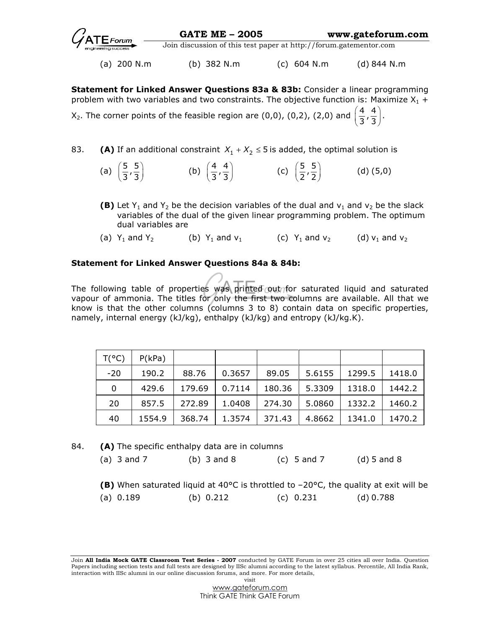(a) 200 N.m (b) 382 N.m (c) 604 N.m (d) 844 N.m

Statement for Linked Answer Questions 83a & 83b: Consider a linear programming problem with two variables and two constraints. The objective function is: Maximize  $X_1$  + X<sub>2</sub>. The corner points of the feasible region are (0,0), (0,2), (2,0) and  $\left(\frac{4}{3},\frac{4}{3}\right)$ .

- 83. **(A)** If an additional constraint  $X_1 + X_2 \le 5$  is added, the optimal solution is
- (a)  $\left(\frac{5}{3}, \frac{5}{3}\right)$  (b)  $\left(\frac{4}{3}, \frac{4}{3}\right)$  (c)  $\left(\frac{5}{2}, \frac{5}{2}\right)$  (d) (5,0)
	- **(B)** Let Y<sub>1</sub> and Y<sub>2</sub> be the decision variables of the dual and  $v_1$  and  $v_2$  be the slack variables of the dual of the given linear programming problem. The optimum dual variables are
	- (a)  $Y_1$  and  $Y_2$  (b)  $Y_1$  and  $V_1$  (c)  $Y_1$  and  $V_2$  (d)  $V_1$  and  $V_2$

## Statement for Linked Answer Questions 84a & 84b:

The following table of properties was printed out for saturated liquid and saturated vapour of ammonia. The titles for only the first two columns are available. All that we know is that the other columns (columns 3 to 8) contain data on specific properties, namely, internal energy (kJ/kg), enthalpy (kJ/kg) and entropy (kJ/kg.K).

| $T(^{\circ}C)$ | P(kPa) |        |        |        |        |        |        |
|----------------|--------|--------|--------|--------|--------|--------|--------|
| $-20$          | 190.2  | 88.76  | 0.3657 | 89.05  | 5.6155 | 1299.5 | 1418.0 |
| 0              | 429.6  | 179.69 | 0.7114 | 180.36 | 5.3309 | 1318.0 | 1442.2 |
| 20             | 857.5  | 272.89 | 1.0408 | 274.30 | 5.0860 | 1332.2 | 1460.2 |
| 40             | 1554.9 | 368.74 | 1.3574 | 371.43 | 4.8662 | 1341.0 | 1470.2 |

84. **(A)** The specific enthalpy data are in columns

| (a) $3$ and $7$ | $(b)$ 3 and 8 | (c) 5 and 7 | $(d)$ 5 and 8 |
|-----------------|---------------|-------------|---------------|
|                 |               |             |               |

(B) When saturated liquid at 40°C is throttled to –20°C, the quality at exit will be (a) 0.189 (b) 0.212 (c) 0.231 (d) 0.788